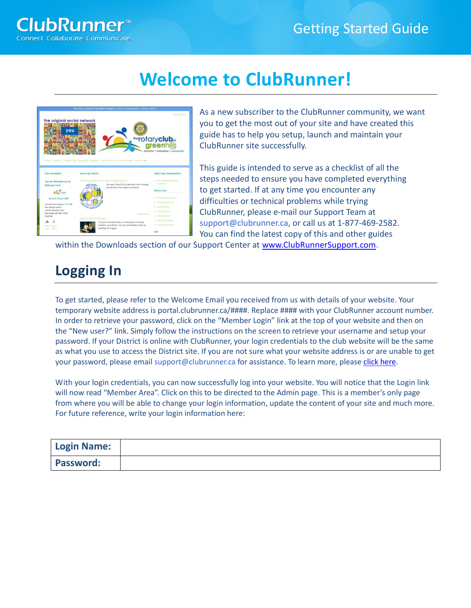# **Welcome to ClubRunner!**



As a new subscriber to the ClubRunner community, we want you to get the most out of your site and have created this guide has to help you setup, launch and maintain your ClubRunner site successfully.

This guide is intended to serve as a checklist of all the steps needed to ensure you have completed everything to get started. If at any time you encounter any difficulties or technical problems while trying ClubRunner, please e-mail our Support Team at support@clubrunner.ca, or call us at 1-877-469-2582. You can find the latest copy of this and other guides

within the Downloads section of our Support Center at [www.ClubRunnerSupport.com.](http://www.clubrunnersupport.com/)

# **Logging In**

To get started, please refer to the Welcome Email you received from us with details of your website. Your temporary website address is portal.clubrunner.ca/####. Replace #### with your ClubRunner account number. In order to retrieve your password, click on the "Member Login" link at the top of your website and then on the "New user?" link. Simply follow the instructions on the screen to retrieve your username and setup your password. If your District is online with ClubRunner, your login credentials to the club website will be the same as what you use to access the District site. If you are not sure what your website address is or are unable to get your password, please email support@clubrunner.ca for assistance. To learn more, pleas[e click here.](https://www.clubrunnersupport.com/article/996-how-do-i-log-in-to-clubrunner)

With your login credentials, you can now successfully log into your website. You will notice that the Login link will now read "Member Area". Click on this to be directed to the Admin page. This is a member's only page from where you will be able to change your login information, update the content of your site and much more. For future reference, write your login information here:

| <b>Login Name:</b> |  |
|--------------------|--|
| <b>Password:</b>   |  |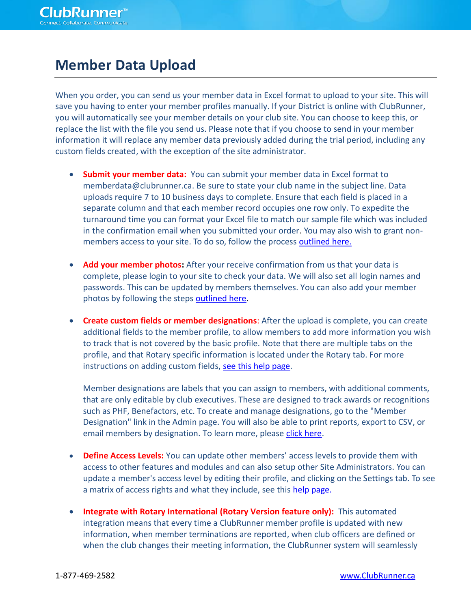#### **Member Data Upload**

When you order, you can send us your member data in Excel format to upload to your site. This will save you having to enter your member profiles manually. If your District is online with ClubRunner, you will automatically see your member details on your club site. You can choose to keep this, or replace the list with the file you send us. Please note that if you choose to send in your member information it will replace any member data previously added during the trial period, including any custom fields created, with the exception of the site administrator.

- **Submit your member data:** You can submit your member data in Excel format to memberdata@clubrunner.ca. Be sure to state your club name in the subject line. Data uploads require 7 to 10 business days to complete. Ensure that each field is placed in a separate column and that each member record occupies one row only. To expedite the turnaround time you can format your Excel file to match our sample file which was included in the confirmation email when you submitted your order. You may also wish to grant nonmembers access to your site. To do so, follow the process [outlined here.](https://www.clubrunnersupport.com/article/917-how-do-i-add-a-non-member-other-user)
- **Add your member photos:** After your receive confirmation from us that your data is complete, please login to your site to check your data. We will also set all login names and passwords. This can be updated by members themselves. You can also add your member photos by following the steps **outlined here**.
- **Create custom fields or member designations**: After the upload is complete, you can create additional fields to the member profile, to allow members to add more information you wish to track that is not covered by the basic profile. Note that there are multiple tabs on the profile, and that Rotary specific information is located under the Rotary tab. For more instructions on adding custom fields, [see this help page.](https://www.clubrunnersupport.com/article/572-how-to-add-custom-fields)

Member designations are labels that you can assign to members, with additional comments, that are only editable by club executives. These are designed to track awards or recognitions such as PHF, Benefactors, etc. To create and manage designations, go to the "Member Designation" link in the Admin page. You will also be able to print reports, export to CSV, or email members by designation. To learn more, please [click here.](https://www.clubrunnersupport.com/article/1089-adding-a-member-designation)

- **Define Access Levels:** You can update other members' access levels to provide them with access to other features and modules and can also setup other Site Administrators. You can update a member's access level by editing their profile, and clicking on the Settings tab. To see a matrix of access rights and what they include, see this [help page.](https://www.clubrunnersupport.com/article/333-what-access-levels-are-there-in-clubrunner)
- **Integrate with Rotary International (Rotary Version feature only):** This automated integration means that every time a ClubRunner member profile is updated with new information, when member terminations are reported, when club officers are defined or when the club changes their meeting information, the ClubRunner system will seamlessly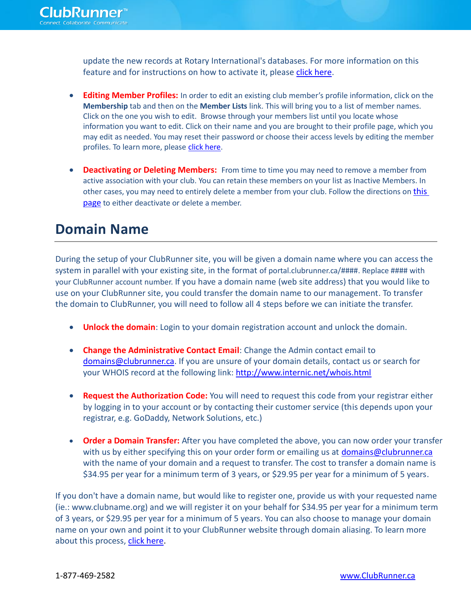update the new records at Rotary International's databases. For more information on this feature and for instructions on how to activate it, please [click here.](https://www.clubrunnersupport.com/article/438-set-up-automatic-integration-with-rotary-international)

- **Editing Member Profiles:** In order to edit an existing club member's profile information, click on the **Membership** tab and then on the **Member Lists** link. This will bring you to a list of member names. Click on the one you wish to edit. Browse through your members list until you locate whose information you want to edit. Click on their name and you are brought to their profile page, which you may edit as needed. You may reset their password or choose their access levels by editing the member profiles. To learn more, pleas[e click here.](https://www.clubrunnersupport.com/article/1337-what-is-the-member-profile-how-do-i-edit-it)
- **Deactivating or Deleting Members:** From time to time you may need to remove a member from active association with your club. You can retain these members on your list as Inactive Members. In other cases, you may need to entirely delete a member from your club. Follow the directions on [this](https://www.clubrunnersupport.com/article/69-how-do-i-deactivate-or-delete-an-active-member)  [page](https://www.clubrunnersupport.com/article/69-how-do-i-deactivate-or-delete-an-active-member) to either deactivate or delete a member.

## **Domain Name**

During the setup of your ClubRunner site, you will be given a domain name where you can access the system in parallel with your existing site, in the format of portal.clubrunner.ca/####. Replace #### with your ClubRunner account number. If you have a domain name (web site address) that you would like to use on your ClubRunner site, you could transfer the domain name to our management. To transfer the domain to ClubRunner, you will need to follow all 4 steps before we can initiate the transfer.

- **Unlock the domain**: Login to your domain registration account and unlock the domain.
- **Change the Administrative Contact Email:** Change the Admin contact email to [domains@clubrunner.ca.](mailto:domains@clubrunner.ca) If you are unsure of your domain details, contact us or search for your WHOIS record at the following link:<http://www.internic.net/whois.html>
- **Request the Authorization Code:** You will need to request this code from your registrar either by logging in to your account or by contacting their customer service (this depends upon your registrar, e.g. GoDaddy, Network Solutions, etc.)
- **Order a Domain Transfer:** After you have completed the above, you can now order your transfer with us by either specifying this on your order form or emailing us at [domains@clubrunner.ca](mailto:domains@clubrunner.ca) with the name of your domain and a request to transfer. The cost to transfer a domain name is \$34.95 per year for a minimum term of 3 years, or \$29.95 per year for a minimum of 5 years.

If you don't have a domain name, but would like to register one, provide us with your requested name (ie.: www.clubname.org) and we will register it on your behalf for \$34.95 per year for a minimum term of 3 years, or \$29.95 per year for a minimum of 5 years. You can also choose to manage your domain name on your own and point it to your ClubRunner website through domain aliasing. To learn more about this process, [click here.](https://www.clubrunnersupport.com/article/817-domain-aliasing-with-clubrunner)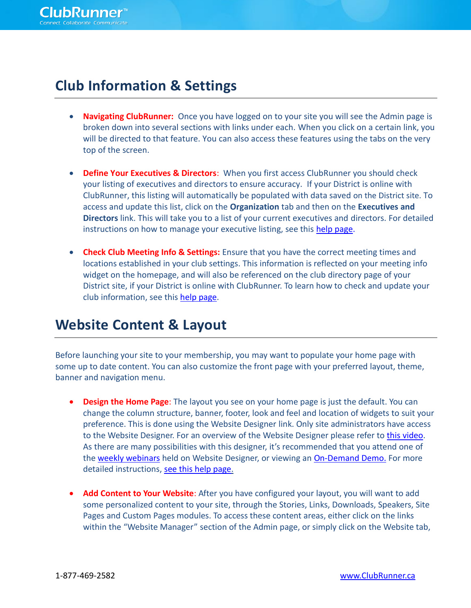## **Club Information & Settings**

- **Navigating ClubRunner:** Once you have logged on to your site you will see the Admin page is broken down into several sections with links under each. When you click on a certain link, you will be directed to that feature. You can also access these features using the tabs on the very top of the screen.
- **Define Your Executives & Directors:** When you first access ClubRunner you should check your listing of executives and directors to ensure accuracy. If your District is online with ClubRunner, this listing will automatically be populated with data saved on the District site. To access and update this list, click on the **Organization** tab and then on the **Executives and Directors** link. This will take you to a list of your current executives and directors. For detailed instructions on how to manage your executive listing, see this [help page.](https://www.clubrunnersupport.com/article/1059-how-do-i-add-a-club-executive)
- **Check Club Meeting Info & Settings:** Ensure that you have the correct meeting times and locations established in your club settings. This information is reflected on your meeting info widget on the homepage, and will also be referenced on the club directory page of your District site, if your District is online with ClubRunner. To learn how to check and update your club information, see this [help page.](https://www.clubrunnersupport.com/article/1362-how-do-i-edit-club-information)

#### **Website Content & Layout**

Before launching your site to your membership, you may want to populate your home page with some up to date content. You can also customize the front page with your preferred layout, theme, banner and navigation menu.

- **Design the Home Page**: The layout you see on your home page is just the default. You can change the column structure, banner, footer, look and feel and location of widgets to suit your preference. This is done using the Website Designer link. Only site administrators have access to the Website Designer. For an overview of the Website Designer please refer to [this video.](https://www.clubrunnersupport.com/article/1236-video-website-designer-overview) As there are many possibilities with this designer, it's recommended that you attend one of the [weekly webinars](http://site.clubrunner.ca/Page/webinars) held on Website Designer, or viewing an [On-Demand Demo.](https://www.clubrunnersupport.com/category/9-on-demand-videos) For more detailed instructions, [see this help page.](https://www.clubrunnersupport.com/section/817-website-designer)
- **Add Content to Your Website:** After you have configured your layout, you will want to add some personalized content to your site, through the Stories, Links, Downloads, Speakers, Site Pages and Custom Pages modules. To access these content areas, either click on the links within the "Website Manager" section of the Admin page, or simply click on the Website tab,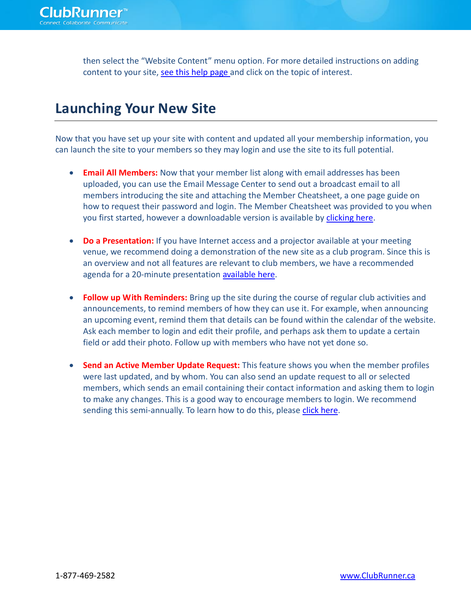then select the "Website Content" menu option. For more detailed instructions on adding content to your site, [see this help page a](https://www.clubrunnersupport.com/section/818-website-content)nd click on the topic of interest.

## **Launching Your New Site**

Now that you have set up your site with content and updated all your membership information, you can launch the site to your members so they may login and use the site to its full potential.

- **Email All Members:** Now that your member list along with email addresses has been uploaded, you can use the Email Message Center to send out a broadcast email to all members introducing the site and attaching the Member Cheatsheet, a one page guide on how to request their password and login. The Member Cheatsheet was provided to you when you first started, however a downloadable version is available by [clicking here.](https://www.clubrunnersupport.com/article/444-member-cheat-sheet)
- **Do a Presentation:** If you have Internet access and a projector available at your meeting venue, we recommend doing a demonstration of the new site as a club program. Since this is an overview and not all features are relevant to club members, we have a recommended agenda for a 20-minute presentation [available](https://www.clubrunnersupport.com/article/546-clubrunner-club-presentation-recommended-agenda) here.
- **Follow up With Reminders:** Bring up the site during the course of regular club activities and announcements, to remind members of how they can use it. For example, when announcing an upcoming event, remind them that details can be found within the calendar of the website. Ask each member to login and edit their profile, and perhaps ask them to update a certain field or add their photo. Follow up with members who have not yet done so.
- **Send an Active Member Update Request:** This feature shows you when the member profiles were last updated, and by whom. You can also send an update request to all or selected members, which sends an email containing their contact information and asking them to login to make any changes. This is a good way to encourage members to login. We recommend sending this semi-annually. To learn how to do this, please [click here.](https://www.clubrunnersupport.com/article/1087-how-do-i-request-member-profile-updates)